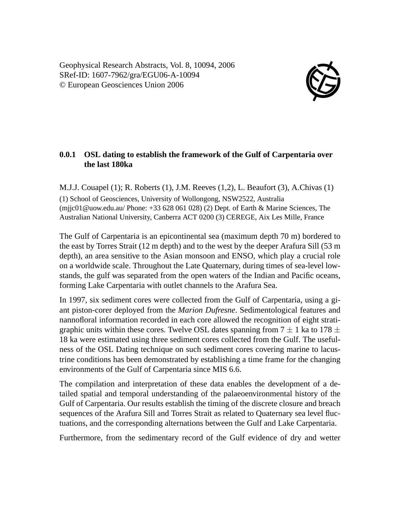Geophysical Research Abstracts, Vol. 8, 10094, 2006 SRef-ID: 1607-7962/gra/EGU06-A-10094 © European Geosciences Union 2006



## **0.0.1 OSL dating to establish the framework of the Gulf of Carpentaria over the last 180ka**

M.J.J. Couapel (1); R. Roberts (1), J.M. Reeves (1,2), L. Beaufort (3), A.Chivas (1) (1) School of Geosciences, University of Wollongong, NSW2522, Australia (mijc01@uow.edu.au/ Phone:  $+33\,628\,061\,028$ ) (2) Dept. of Earth & Marine Sciences, The Australian National University, Canberra ACT 0200 (3) CEREGE, Aix Les Mille, France

The Gulf of Carpentaria is an epicontinental sea (maximum depth 70 m) bordered to the east by Torres Strait (12 m depth) and to the west by the deeper Arafura Sill (53 m depth), an area sensitive to the Asian monsoon and ENSO, which play a crucial role on a worldwide scale. Throughout the Late Quaternary, during times of sea-level lowstands, the gulf was separated from the open waters of the Indian and Pacific oceans, forming Lake Carpentaria with outlet channels to the Arafura Sea.

In 1997, six sediment cores were collected from the Gulf of Carpentaria, using a giant piston-corer deployed from the *Marion Dufresne*. Sedimentological features and nannofloral information recorded in each core allowed the recognition of eight stratigraphic units within these cores. Twelve OSL dates spanning from  $7 \pm 1$  ka to 178  $\pm$ 18 ka were estimated using three sediment cores collected from the Gulf. The usefulness of the OSL Dating technique on such sediment cores covering marine to lacustrine conditions has been demonstrated by establishing a time frame for the changing environments of the Gulf of Carpentaria since MIS 6.6.

The compilation and interpretation of these data enables the development of a detailed spatial and temporal understanding of the palaeoenvironmental history of the Gulf of Carpentaria. Our results establish the timing of the discrete closure and breach sequences of the Arafura Sill and Torres Strait as related to Quaternary sea level fluctuations, and the corresponding alternations between the Gulf and Lake Carpentaria.

Furthermore, from the sedimentary record of the Gulf evidence of dry and wetter